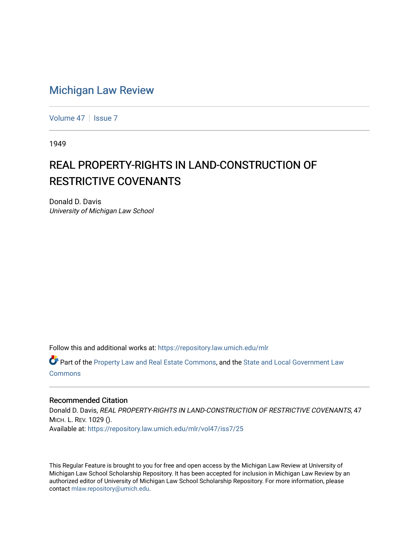## [Michigan Law Review](https://repository.law.umich.edu/mlr)

[Volume 47](https://repository.law.umich.edu/mlr/vol47) | [Issue 7](https://repository.law.umich.edu/mlr/vol47/iss7)

1949

## REAL PROPERTY-RIGHTS IN LAND-CONSTRUCTION OF **RESTRICTIVE COVENANTS**

Donald D. Davis University of Michigan Law School

Follow this and additional works at: [https://repository.law.umich.edu/mlr](https://repository.law.umich.edu/mlr?utm_source=repository.law.umich.edu%2Fmlr%2Fvol47%2Fiss7%2F25&utm_medium=PDF&utm_campaign=PDFCoverPages) 

Part of the [Property Law and Real Estate Commons,](http://network.bepress.com/hgg/discipline/897?utm_source=repository.law.umich.edu%2Fmlr%2Fvol47%2Fiss7%2F25&utm_medium=PDF&utm_campaign=PDFCoverPages) and the [State and Local Government Law](http://network.bepress.com/hgg/discipline/879?utm_source=repository.law.umich.edu%2Fmlr%2Fvol47%2Fiss7%2F25&utm_medium=PDF&utm_campaign=PDFCoverPages) [Commons](http://network.bepress.com/hgg/discipline/879?utm_source=repository.law.umich.edu%2Fmlr%2Fvol47%2Fiss7%2F25&utm_medium=PDF&utm_campaign=PDFCoverPages)

## Recommended Citation

Donald D. Davis, REAL PROPERTY-RIGHTS IN LAND-CONSTRUCTION OF RESTRICTIVE COVENANTS, 47 MICH. L. REV. 1029 (). Available at: [https://repository.law.umich.edu/mlr/vol47/iss7/25](https://repository.law.umich.edu/mlr/vol47/iss7/25?utm_source=repository.law.umich.edu%2Fmlr%2Fvol47%2Fiss7%2F25&utm_medium=PDF&utm_campaign=PDFCoverPages) 

This Regular Feature is brought to you for free and open access by the Michigan Law Review at University of Michigan Law School Scholarship Repository. It has been accepted for inclusion in Michigan Law Review by an authorized editor of University of Michigan Law School Scholarship Repository. For more information, please contact [mlaw.repository@umich.edu](mailto:mlaw.repository@umich.edu).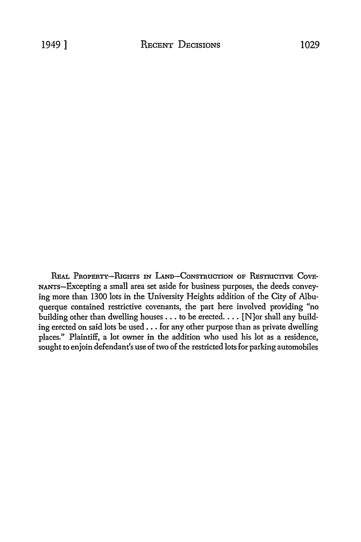REAL PROPERTY-RIGHTS IN LAND-CONSTRUCTION OF RESTRICTIVE COVE-NANTs-Excepting a small area set aside for business purposes, the deeds conveying more than 1300 lots in the University Heights addition of the City of Albuquerque contained restrictive covenants, the part here involved providing "no building other than dwelling houses  $\dots$  to be erected.  $\dots$  [N]or shall any building erected on said lots be used ... for any other purpose than as private dwelling places." Plaintiff, a lot owner in the addition who used his lot as a residence, sought to enjoin defendant's use of two of the restricted lots for parking automobiles